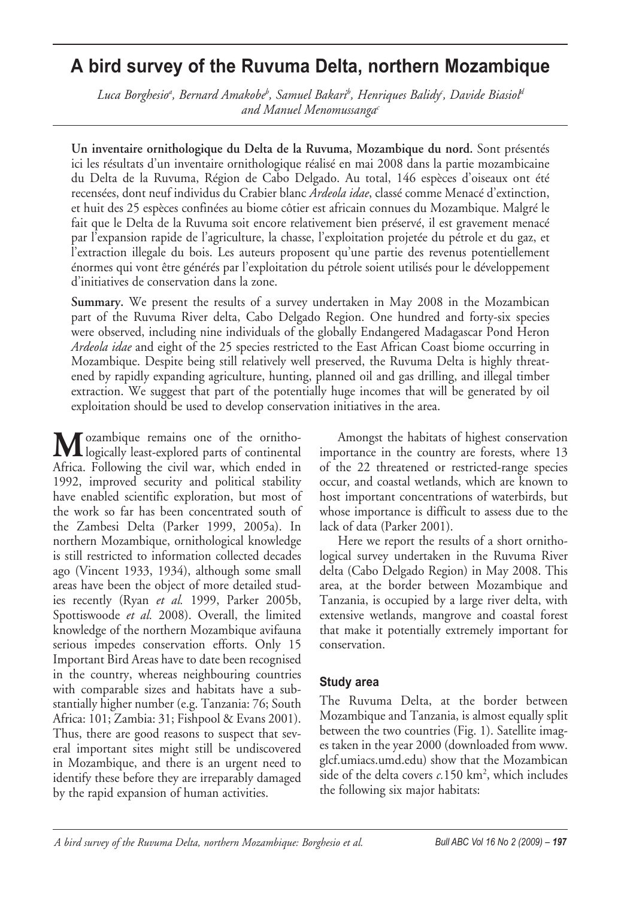# **A bird survey of the Ruvuma Delta, northern Mozambique**

Luca Borghesio<sup>a</sup>, Bernard Amakobe<sup>b</sup>, Samuel Bakari<sup>b</sup>, Henriques Balidy<sup>c</sup>, Davide Biasiol<sup>a</sup> *and Manuel Menomussangac*

**Un inventaire ornithologique du Delta de la Ruvuma, Mozambique du nord.** Sont présentés ici les résultats d'un inventaire ornithologique réalisé en mai 2008 dans la partie mozambicaine du Delta de la Ruvuma, Région de Cabo Delgado. Au total, 146 espèces d'oiseaux ont été recensées, dont neuf individus du Crabier blanc *Ardeola idae*, classé comme Menacé d'extinction, et huit des 25 espèces confinées au biome côtier est africain connues du Mozambique. Malgré le fait que le Delta de la Ruvuma soit encore relativement bien préservé, il est gravement menacé par l'expansion rapide de l'agriculture, la chasse, l'exploitation projetée du pétrole et du gaz, et l'extraction illegale du bois. Les auteurs proposent qu'une partie des revenus potentiellement énormes qui vont être générés par l'exploitation du pétrole soient utilisés pour le développement d'initiatives de conservation dans la zone.

**Summary.** We present the results of a survey undertaken in May 2008 in the Mozambican part of the Ruvuma River delta, Cabo Delgado Region. One hundred and forty-six species were observed, including nine individuals of the globally Endangered Madagascar Pond Heron *Ardeola idae* and eight of the 25 species restricted to the East African Coast biome occurring in Mozambique. Despite being still relatively well preserved, the Ruvuma Delta is highly threatened by rapidly expanding agriculture, hunting, planned oil and gas drilling, and illegal timber extraction. We suggest that part of the potentially huge incomes that will be generated by oil exploitation should be used to develop conservation initiatives in the area.

**M**ozambique remains one of the ornitho-logically least-explored parts of continental Africa. Following the civil war, which ended in 1992, improved security and political stability have enabled scientific exploration, but most of the work so far has been concentrated south of the Zambesi Delta (Parker 1999, 2005a). In northern Mozambique, ornithological knowledge is still restricted to information collected decades ago (Vincent 1933, 1934), although some small areas have been the object of more detailed studies recently (Ryan *et al.* 1999, Parker 2005b, Spottiswoode *et al.* 2008). Overall, the limited knowledge of the northern Mozambique avifauna serious impedes conservation efforts. Only 15 Important Bird Areas have to date been recognised in the country, whereas neighbouring countries with comparable sizes and habitats have a substantially higher number (e.g. Tanzania: 76; South Africa: 101; Zambia: 31; Fishpool & Evans 2001). Thus, there are good reasons to suspect that several important sites might still be undiscovered in Mozambique, and there is an urgent need to identify these before they are irreparably damaged by the rapid expansion of human activities.

Amongst the habitats of highest conservation importance in the country are forests, where 13 of the 22 threatened or restricted-range species occur, and coastal wetlands, which are known to host important concentrations of waterbirds, but whose importance is difficult to assess due to the lack of data (Parker 2001).

Here we report the results of a short ornithological survey undertaken in the Ruvuma River delta (Cabo Delgado Region) in May 2008. This area, at the border between Mozambique and Tanzania, is occupied by a large river delta, with extensive wetlands, mangrove and coastal forest that make it potentially extremely important for conservation.

#### **Study area**

The Ruvuma Delta, at the border between Mozambique and Tanzania, is almost equally split between the two countries (Fig. 1). Satellite images taken in the year 2000 (downloaded from www. glcf.umiacs.umd.edu) show that the Mozambican side of the delta covers *c*.150 km<sup>2</sup>, which includes the following six major habitats: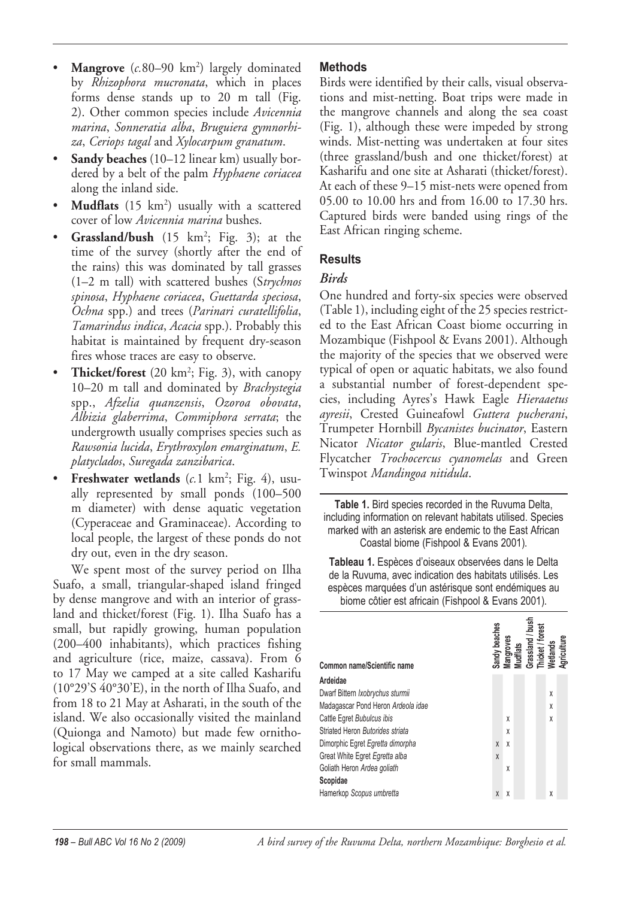- **Mangrove** (*c.*80–90 km<sup>2</sup>) largely dominated by *Rhizophora mucronata*, which in places forms dense stands up to 20 m tall (Fig. 2). Other common species include *Avicennia marina*, *Sonneratia alba*, *Bruguiera gymnorhiza*, *Ceriops tagal* and *Xylocarpum granatum*.
- **Sandy beaches** (10–12 linear km) usually bordered by a belt of the palm *Hyphaene coriacea* along the inland side.
- **Mudflats** (15 km<sup>2</sup>) usually with a scattered cover of low *Avicennia marina* bushes.
- **Grassland/bush** (15 km<sup>2</sup>; Fig. 3); at the time of the survey (shortly after the end of the rains) this was dominated by tall grasses (1–2 m tall) with scattered bushes (S*trychnos spinosa*, *Hyphaene coriacea*, *Guettarda speciosa*, *Ochna* spp.) and trees (*Parinari curatellifolia*, *Tamarindus indica*, *Acacia* spp.). Probably this habitat is maintained by frequent dry-season fires whose traces are easy to observe.
- **Thicket/forest** (20 km<sup>2</sup>; Fig. 3), with canopy 10–20 m tall and dominated by *Brachystegia* spp., *Afzelia quanzensis*, *Ozoroa obovata*, *Albizia glaberrima*, *Commiphora serrata*; the undergrowth usually comprises species such as *Rawsonia lucida*, *Erythroxylon emarginatum*, *E. platyclados*, *Suregada zanzibarica*.
- • **Freshwater wetlands** (*c.*1 km2 ; Fig. 4), usually represented by small ponds (100–500 m diameter) with dense aquatic vegetation (Cyperaceae and Graminaceae). According to local people, the largest of these ponds do not dry out, even in the dry season.

We spent most of the survey period on Ilha Suafo, a small, triangular-shaped island fringed by dense mangrove and with an interior of grassland and thicket/forest (Fig. 1). Ilha Suafo has a small, but rapidly growing, human population (200–400 inhabitants), which practices fishing and agriculture (rice, maize, cassava). From 6 to 17 May we camped at a site called Kasharifu (10°29'S 40°30'E), in the north of Ilha Suafo, and from 18 to 21 May at Asharati, in the south of the island. We also occasionally visited the mainland (Quionga and Namoto) but made few ornithological observations there, as we mainly searched for small mammals.

## **Methods**

Birds were identified by their calls, visual observations and mist-netting. Boat trips were made in the mangrove channels and along the sea coast (Fig. 1), although these were impeded by strong winds. Mist-netting was undertaken at four sites (three grassland/bush and one thicket/forest) at Kasharifu and one site at Asharati (thicket/forest). At each of these 9–15 mist-nets were opened from 05.00 to 10.00 hrs and from 16.00 to 17.30 hrs. Captured birds were banded using rings of the East African ringing scheme.

## **Results**

# *Birds*

One hundred and forty-six species were observed (Table 1), including eight of the 25 species restricted to the East African Coast biome occurring in Mozambique (Fishpool & Evans 2001). Although the majority of the species that we observed were typical of open or aquatic habitats, we also found a substantial number of forest-dependent species, including Ayres's Hawk Eagle *Hieraaetus ayresii*, Crested Guineafowl *Guttera pucherani*, Trumpeter Hornbill *Bycanistes bucinator*, Eastern Nicator *Nicator gularis*, Blue-mantled Crested Flycatcher *Trochocercus cyanomelas* and Green Twinspot *Mandingoa nitidula*.

**Table 1.** Bird species recorded in the Ruvuma Delta, including information on relevant habitats utilised. Species marked with an asterisk are endemic to the East African Coastal biome (Fishpool & Evans 2001).

**Tableau 1.** Espèces d'oiseaux observées dans le Delta de la Ruvuma, avec indication des habitats utilisés. Les espèces marquées d'un astérisque sont endémiques au biome côtier est africain (Fishpool & Evans 2001).

|                                    | Sandy beaches<br>Mangroves<br>Mudflats<br>Grassland / bus <br>Thicket / forest<br>Wetlands<br>Agriculture |   |  | nash<br>L |   |  |
|------------------------------------|-----------------------------------------------------------------------------------------------------------|---|--|-----------|---|--|
| Common name/Scientific name        |                                                                                                           |   |  |           |   |  |
| Ardeidae                           |                                                                                                           |   |  |           |   |  |
| Dwarf Bittern Ixobrychus sturmii   |                                                                                                           |   |  |           | X |  |
| Madagascar Pond Heron Ardeola idae |                                                                                                           |   |  |           | X |  |
| Cattle Egret Bubulcus ibis         |                                                                                                           | X |  |           | χ |  |
| Striated Heron Butorides striata   |                                                                                                           | X |  |           |   |  |
| Dimorphic Egret Egretta dimorpha   | X                                                                                                         | X |  |           |   |  |
| Great White Egret Egretta alba     | X                                                                                                         |   |  |           |   |  |
| Goliath Heron Ardea goliath        |                                                                                                           | X |  |           |   |  |
| Scopidae                           |                                                                                                           |   |  |           |   |  |
| Hamerkop Scopus umbretta           | X                                                                                                         | X |  |           | χ |  |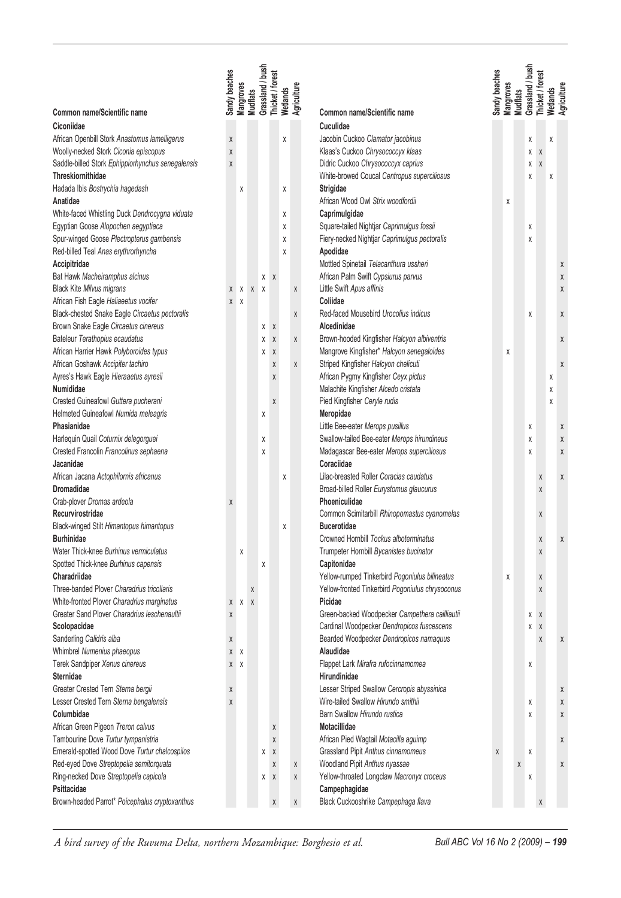|                                                   | Sandy beaches | Mangroves    | <b>Mudflats</b> | Grassland / bush<br>Thicket / forest |              | Wetlands | Agriculture |                                                  | Sandy beaches | Mangroves<br><b>Mudflats</b> | Grassland / bush | Thicket / forest | Wetlands<br>Agriculture |
|---------------------------------------------------|---------------|--------------|-----------------|--------------------------------------|--------------|----------|-------------|--------------------------------------------------|---------------|------------------------------|------------------|------------------|-------------------------|
| Common name/Scientific name                       |               |              |                 |                                      |              |          |             | Common name/Scientific name                      |               |                              |                  |                  |                         |
| Ciconiidae                                        |               |              |                 |                                      |              |          |             | Cuculidae                                        |               |                              |                  |                  |                         |
| African Openbill Stork Anastomus lamelligerus     | X             |              |                 |                                      |              | χ        |             | Jacobin Cuckoo Clamator jacobinus                |               |                              | Χ                |                  | Χ                       |
| Woolly-necked Stork Ciconia episcopus             | X             |              |                 |                                      |              |          |             | Klaas's Cuckoo Chrysococcyx klaas                |               |                              | χ                | χ                |                         |
| Saddle-billed Stork Ephippiorhynchus senegalensis | X             |              |                 |                                      |              |          |             | Didric Cuckoo Chrysococcyx caprius               |               |                              | χ                | χ                |                         |
| <b>Threskiornithidae</b>                          |               |              |                 |                                      |              |          |             | White-browed Coucal Centropus superciliosus      |               |                              | χ                |                  | Χ                       |
| Hadada Ibis Bostrychia hagedash                   |               | χ            |                 |                                      |              | Χ        |             | Strigidae                                        |               |                              |                  |                  |                         |
| Anatidae                                          |               |              |                 |                                      |              |          |             | African Wood Owl Strix woodfordii                |               | Χ                            |                  |                  |                         |
| White-faced Whistling Duck Dendrocygna viduata    |               |              |                 |                                      |              | X        |             | Caprimulgidae                                    |               |                              |                  |                  |                         |
| Egyptian Goose Alopochen aegyptiaca               |               |              |                 |                                      |              | X        |             | Square-tailed Nightjar Caprimulgus fossii        |               |                              | χ                |                  |                         |
| Spur-winged Goose Plectropterus gambensis         |               |              |                 |                                      |              | χ        |             | Fiery-necked Nightjar Caprimulgus pectoralis     |               |                              | χ                |                  |                         |
| Red-billed Teal Anas erythrorhyncha               |               |              |                 |                                      |              | X        |             | Apodidae                                         |               |                              |                  |                  |                         |
| Accipitridae                                      |               |              |                 |                                      |              |          |             | Mottled Spinetail Telacanthura ussheri           |               |                              |                  |                  | X                       |
| Bat Hawk Macheiramphus alcinus                    |               |              |                 | χ                                    | X            |          |             | African Palm Swift Cypsiurus parvus              |               |                              |                  |                  | X                       |
| <b>Black Kite Milvus migrans</b>                  | Χ             | $\pmb{\chi}$ | $\mathsf X$     | χ                                    |              |          | Χ           | Little Swift Apus affinis                        |               |                              |                  |                  | X                       |
| African Fish Eagle Haliaeetus vocifer             | X             | χ            |                 |                                      |              |          |             | Coliidae                                         |               |                              |                  |                  |                         |
| Black-chested Snake Eagle Circaetus pectoralis    |               |              |                 |                                      |              |          | Χ           | Red-faced Mousebird Urocolius indicus            |               |                              | χ                |                  | X                       |
| Brown Snake Eagle Circaetus cinereus              |               |              |                 | χ                                    | $\mathsf{X}$ |          |             | Alcedinidae                                      |               |                              |                  |                  |                         |
| Bateleur Terathopius ecaudatus                    |               |              |                 | χ                                    | χ            |          | χ           | Brown-hooded Kingfisher Halcyon albiventris      |               |                              |                  |                  | X                       |
| African Harrier Hawk Polyboroides typus           |               |              |                 | χ                                    | χ            |          |             | Mangrove Kingfisher* Halcyon senegaloides        |               | Χ                            |                  |                  |                         |
| African Goshawk Accipiter tachiro                 |               |              |                 |                                      | Χ            |          | Χ           | Striped Kingfisher Halcyon chelicuti             |               |                              |                  |                  | X                       |
| Ayres's Hawk Eagle Hieraaetus ayresii             |               |              |                 |                                      | χ            |          |             | African Pygmy Kingfisher Ceyx pictus             |               |                              |                  |                  | χ                       |
| Numididae                                         |               |              |                 |                                      |              |          |             | Malachite Kingfisher Alcedo cristata             |               |                              |                  |                  | Χ                       |
| Crested Guineafowl Guttera pucherani              |               |              |                 |                                      | χ            |          |             | Pied Kingfisher Ceryle rudis                     |               |                              |                  |                  | Χ                       |
| Helmeted Guineafowl Numida meleagris              |               |              |                 | χ                                    |              |          |             | Meropidae                                        |               |                              |                  |                  |                         |
| Phasianidae                                       |               |              |                 |                                      |              |          |             | Little Bee-eater Merops pusillus                 |               |                              | χ                |                  | Χ                       |
| Harlequin Quail Coturnix delegorguei              |               |              |                 | Χ                                    |              |          |             | Swallow-tailed Bee-eater Merops hirundineus      |               |                              | χ                |                  | X                       |
| Crested Francolin Francolinus sephaena            |               |              |                 | X                                    |              |          |             | Madagascar Bee-eater Merops superciliosus        |               |                              | X                |                  | Χ                       |
| Jacanidae                                         |               |              |                 |                                      |              |          |             | Coraciidae                                       |               |                              |                  |                  |                         |
| African Jacana Actophilornis africanus            |               |              |                 |                                      |              | χ        |             | Lilac-breasted Roller Coracias caudatus          |               |                              |                  | χ                | X                       |
| Dromadidae                                        |               |              |                 |                                      |              |          |             | Broad-billed Roller Eurystomus glaucurus         |               |                              |                  | χ                |                         |
| Crab-plover Dromas ardeola                        | X             |              |                 |                                      |              |          |             | Phoeniculidae                                    |               |                              |                  |                  |                         |
| Recurvirostridae                                  |               |              |                 |                                      |              |          |             | Common Scimitarbill Rhinopomastus cyanomelas     |               |                              |                  | χ                |                         |
| Black-winged Stilt Himantopus himantopus          |               |              |                 |                                      |              | χ        |             | <b>Bucerotidae</b>                               |               |                              |                  |                  |                         |
| <b>Burhinidae</b>                                 |               |              |                 |                                      |              |          |             | Crowned Hornbill Tockus alboterminatus           |               |                              |                  | χ                | X                       |
| Water Thick-knee Burhinus vermiculatus            |               | χ            |                 |                                      |              |          |             | Trumpeter Hornbill Bycanistes bucinator          |               |                              |                  | Χ                |                         |
| Spotted Thick-knee Burhinus capensis              |               |              |                 | χ                                    |              |          |             | Capitonidae                                      |               |                              |                  |                  |                         |
| Charadriidae                                      |               |              |                 |                                      |              |          |             | Yellow-rumped Tinkerbird Pogoniulus bilineatus   |               | χ                            |                  | Χ                |                         |
| Three-banded Plover Charadrius tricollaris        |               |              | Χ               |                                      |              |          |             | Yellow-fronted Tinkerbird Pogoniulus chrysoconus |               |                              |                  | X                |                         |
| White-fronted Plover Charadrius marginatus        | χ             | χ            | $\chi$          |                                      |              |          |             | Picidae                                          |               |                              |                  |                  |                         |
| Greater Sand Plover Charadrius leschenaultii      | χ             |              |                 |                                      |              |          |             | Green-backed Woodpecker Campethera cailliautii   |               |                              | χ                | Χ                |                         |
| Scolopacidae                                      |               |              |                 |                                      |              |          |             | Cardinal Woodpecker Dendropicos fuscescens       |               |                              | χ                | χ                |                         |
| Sanderling Calidris alba                          | X             |              |                 |                                      |              |          |             | Bearded Woodpecker Dendropicos namaquus          |               |                              |                  | Χ                | X                       |
| Whimbrel Numenius phaeopus                        | χ             | X            |                 |                                      |              |          |             | Alaudidae                                        |               |                              |                  |                  |                         |
| Terek Sandpiper Xenus cinereus                    | χ             | Χ            |                 |                                      |              |          |             | Flappet Lark Mirafra rufocinnamomea              |               |                              | χ                |                  |                         |
| Sternidae                                         |               |              |                 |                                      |              |          |             | Hirundinidae                                     |               |                              |                  |                  |                         |
| Greater Crested Tern Sterna bergii                | Χ             |              |                 |                                      |              |          |             | Lesser Striped Swallow Cercropis abyssinica      |               |                              |                  |                  | Χ                       |
| Lesser Crested Tern Sterna bengalensis            | X             |              |                 |                                      |              |          |             | Wire-tailed Swallow Hirundo smithii              |               |                              | χ                |                  | Χ                       |
| Columbidae                                        |               |              |                 |                                      |              |          |             | Barn Swallow Hirundo rustica                     |               |                              | χ                |                  | Χ                       |
| African Green Pigeon Treron calvus                |               |              |                 |                                      | Χ            |          |             | Motacillidae                                     |               |                              |                  |                  |                         |
| Tambourine Dove Turtur tympanistria               |               |              |                 |                                      | χ            |          |             | African Pied Wagtail Motacilla aguimp            |               |                              |                  |                  | Χ                       |
| Emerald-spotted Wood Dove Turtur chalcospilos     |               |              |                 | χ                                    | Χ            |          |             | Grassland Pipit Anthus cinnamomeus               | Χ             |                              | χ                |                  |                         |
| Red-eyed Dove Streptopelia semitorquata           |               |              |                 |                                      | Χ            |          | χ           | Woodland Pipit Anthus nyassae                    |               | X                            |                  |                  | Χ                       |
| Ring-necked Dove Streptopelia capicola            |               |              |                 | χ                                    | Χ            |          | χ           | Yellow-throated Longclaw Macronyx croceus        |               |                              | χ                |                  |                         |
| Psittacidae                                       |               |              |                 |                                      |              |          |             | Campephagidae                                    |               |                              |                  |                  |                         |
| Brown-headed Parrot* Poicephalus cryptoxanthus    |               |              |                 |                                      | χ            |          | X           | Black Cuckooshrike Campephaga flava              |               |                              |                  | Χ                |                         |

*A bird survey of the Ruvuma Delta, northern Mozambique: Borghesio et al. Bull ABC Vol 16 No 2 (2009) – 199*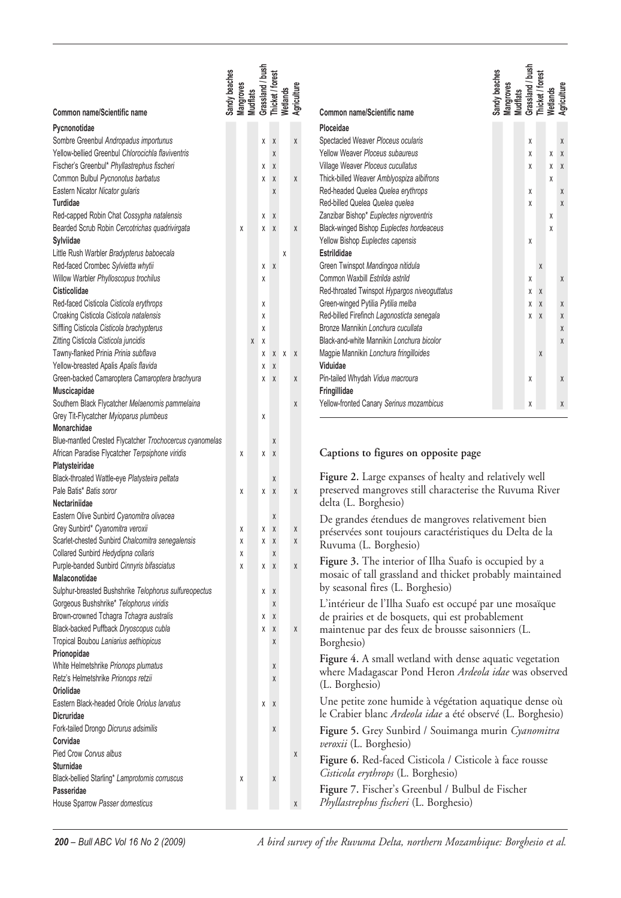| Common name/Scientific name                                                     | Sandy beaches | <b>Mangroves</b> | <b>Mudflats</b> | Grassland / bush | Thicket / forest | Wetlands | Agriculture                                                                                                | Grassland / bush<br>Sandy beaches<br>Thicket / forest<br><b>Mangroves</b><br>Wetlands<br>Agriculture<br><b>Mudflats</b><br>Common name/Scientific name |
|---------------------------------------------------------------------------------|---------------|------------------|-----------------|------------------|------------------|----------|------------------------------------------------------------------------------------------------------------|--------------------------------------------------------------------------------------------------------------------------------------------------------|
| Pycnonotidae                                                                    |               |                  |                 |                  |                  |          |                                                                                                            | Ploceidae                                                                                                                                              |
| Sombre Greenbul Andropadus importunus                                           |               |                  |                 | χ                | χ                |          | χ                                                                                                          | Spectacled Weaver Ploceus ocularis<br>χ<br>Χ                                                                                                           |
| Yellow-bellied Greenbul Chlorocichla flaviventris                               |               |                  |                 |                  | χ                |          |                                                                                                            | Yellow Weaver Ploceus subaureus<br>χ<br>$\mathsf{X}$<br>χ                                                                                              |
| Fischer's Greenbul* Phyllastrephus fischeri                                     |               |                  |                 | χ                | χ                |          |                                                                                                            | Village Weaver Ploceus cucullatus<br>χ<br>X X                                                                                                          |
| Common Bulbul Pycnonotus barbatus                                               |               |                  |                 | χ                | χ                |          | Χ                                                                                                          | Thick-billed Weaver Amblyospiza albifrons<br>χ                                                                                                         |
| Eastern Nicator Nicator gularis                                                 |               |                  |                 |                  | Χ                |          |                                                                                                            | Red-headed Quelea Quelea erythrops<br>χ<br>Χ                                                                                                           |
| Turdidae                                                                        |               |                  |                 |                  |                  |          |                                                                                                            | Red-billed Quelea Quelea quelea<br>χ<br>Χ                                                                                                              |
| Red-capped Robin Chat Cossypha natalensis                                       |               |                  |                 |                  | Χ                |          |                                                                                                            | Zanzibar Bishop* Euplectes nigroventris                                                                                                                |
| Bearded Scrub Robin Cercotrichas quadrivirgata                                  |               | χ                |                 | χ<br>χ           | χ                |          | χ                                                                                                          | χ<br>Black-winged Bishop Euplectes hordeaceus<br>χ                                                                                                     |
| Sylviidae                                                                       |               |                  |                 |                  |                  |          |                                                                                                            | Yellow Bishop Euplectes capensis                                                                                                                       |
|                                                                                 |               |                  |                 |                  |                  | χ        |                                                                                                            | χ<br>Estrildidae                                                                                                                                       |
| Little Rush Warbler Bradypterus baboecala<br>Red-faced Crombec Sylvietta whytii |               |                  |                 |                  |                  |          |                                                                                                            | Green Twinspot Mandingoa nitidula                                                                                                                      |
|                                                                                 |               |                  |                 | χ                | Χ                |          |                                                                                                            | Χ<br>Common Waxbill Estrilda astrild                                                                                                                   |
| Willow Warbler Phylloscopus trochilus<br>Cisticolidae                           |               |                  |                 | χ                |                  |          |                                                                                                            | χ<br>Χ                                                                                                                                                 |
|                                                                                 |               |                  |                 |                  |                  |          |                                                                                                            | Red-throated Twinspot Hypargos niveoguttatus<br>χ<br>Χ                                                                                                 |
| Red-faced Cisticola Cisticola erythrops                                         |               |                  |                 | χ                |                  |          |                                                                                                            | Green-winged Pytilia Pytilia melba<br>χ<br>Χ<br>Χ                                                                                                      |
| Croaking Cisticola Cisticola natalensis                                         |               |                  |                 | χ                |                  |          |                                                                                                            | Red-billed Firefinch Lagonosticta senegala<br>χ<br>$\sf X$<br>$\mathsf X$                                                                              |
| Siffling Cisticola Cisticola brachypterus                                       |               |                  |                 | χ                |                  |          |                                                                                                            | Bronze Mannikin Lonchura cucullata<br>Χ                                                                                                                |
| Zitting Cisticola Cisticola juncidis                                            |               |                  | Χ               | χ                |                  |          |                                                                                                            | Black-and-white Mannikin Lonchura bicolor<br>Χ                                                                                                         |
| Tawny-flanked Prinia Prinia subflava                                            |               |                  |                 | χ                | χ                | $X$ $X$  |                                                                                                            | Magpie Mannikin Lonchura fringilloides<br>Χ                                                                                                            |
| Yellow-breasted Apalis Apalis flavida                                           |               |                  |                 | χ                | χ                |          |                                                                                                            | Viduidae                                                                                                                                               |
| Green-backed Camaroptera Camaroptera brachyura                                  |               |                  |                 | χ                | χ                |          | Χ                                                                                                          | Pin-tailed Whydah Vidua macroura<br>χ<br>Χ                                                                                                             |
| Muscicapidae                                                                    |               |                  |                 |                  |                  |          |                                                                                                            | Fringillidae                                                                                                                                           |
| Southern Black Flycatcher Melaenornis pammelaina                                |               |                  |                 |                  |                  |          | Χ                                                                                                          | Yellow-fronted Canary Serinus mozambicus<br>χ<br>Χ                                                                                                     |
| Grey Tit-Flycatcher Myioparus plumbeus                                          |               |                  |                 | χ                |                  |          |                                                                                                            |                                                                                                                                                        |
| Monarchidae                                                                     |               |                  |                 |                  |                  |          |                                                                                                            |                                                                                                                                                        |
| Blue-mantled Crested Flycatcher Trochocercus cyanomelas                         |               |                  |                 |                  | χ                |          |                                                                                                            |                                                                                                                                                        |
| African Paradise Flycatcher Terpsiphone viridis                                 |               | χ                |                 | χ                | χ                |          |                                                                                                            | Captions to figures on opposite page                                                                                                                   |
| Platysteiridae                                                                  |               |                  |                 |                  |                  |          |                                                                                                            | Figure 2. Large expanses of healty and relatively well                                                                                                 |
| Black-throated Wattle-eye Platysteira peltata                                   |               |                  |                 |                  | Χ                |          |                                                                                                            | preserved mangroves still characterise the Ruvuma River                                                                                                |
| Pale Batis* Batis soror<br>Nectariniidae                                        |               | χ                |                 | χ                | $\chi$           |          | χ                                                                                                          |                                                                                                                                                        |
|                                                                                 |               |                  |                 |                  |                  |          |                                                                                                            | delta (L. Borghesio)                                                                                                                                   |
| Eastern Olive Sunbird Cyanomitra olivacea<br>Grey Sunbird* Cyanomitra veroxii   |               |                  |                 |                  | χ<br>χ           |          |                                                                                                            | De grandes étendues de mangroves relativement bien                                                                                                     |
|                                                                                 |               | χ                |                 | χ                |                  |          | $\pmb{\chi}$                                                                                               | préservées sont toujours caractéristiques du Delta de la                                                                                               |
| Scarlet-chested Sunbird Chalcomitra senegalensis                                |               | χ                |                 | χ                | χ                |          | X                                                                                                          | Ruvuma (L. Borghesio)                                                                                                                                  |
| Collared Sunbird Hedydipna collaris                                             |               | X                |                 |                  | χ                |          |                                                                                                            | Figure 3. The interior of Ilha Suafo is occupied by a                                                                                                  |
| Purple-banded Sunbird Cinnyris bifasciatus                                      |               | χ                |                 | $X$ $X$          |                  |          | $\mathsf X$                                                                                                | mosaic of tall grassland and thicket probably maintained                                                                                               |
| Malaconotidae                                                                   |               |                  |                 |                  |                  |          |                                                                                                            | by seasonal fires (L. Borghesio)                                                                                                                       |
| Sulphur-breasted Bushshrike Telophorus sulfureopectus                           |               |                  |                 | X                | Χ                |          |                                                                                                            |                                                                                                                                                        |
| Gorgeous Bushshrike* Telophorus viridis                                         |               |                  |                 |                  | χ                |          |                                                                                                            | L'intérieur de l'Ilha Suafo est occupé par une mosaïque                                                                                                |
| Brown-crowned Tchagra Tchagra australis                                         |               |                  |                 | χ                | Χ                |          |                                                                                                            | de prairies et de bosquets, qui est probablement                                                                                                       |
| Black-backed Puffback Dryoscopus cubla                                          |               |                  |                 | χ                | χ                |          | $\mathsf{X}% _{T}=\mathsf{X}_{T}\!\left( a,b\right) ,\ \mathsf{Y}_{T}=\mathsf{Y}_{T}\!\left( a,b\right) ,$ | maintenue par des feux de brousse saisonniers (L.                                                                                                      |
| Tropical Boubou Laniarius aethiopicus                                           |               |                  |                 |                  | X                |          |                                                                                                            | Borghesio)                                                                                                                                             |
| Prionopidae                                                                     |               |                  |                 |                  |                  |          |                                                                                                            | Figure 4. A small wetland with dense aquatic vegetation                                                                                                |
| White Helmetshrike Prionops plumatus                                            |               |                  |                 |                  | χ                |          |                                                                                                            | where Madagascar Pond Heron Ardeola idae was observed                                                                                                  |
| Retz's Helmetshrike Prionops retzii                                             |               |                  |                 |                  | Χ                |          |                                                                                                            | (L. Borghesio)                                                                                                                                         |
| Oriolidae                                                                       |               |                  |                 |                  |                  |          |                                                                                                            |                                                                                                                                                        |
| Eastern Black-headed Oriole Oriolus larvatus                                    |               |                  |                 | X X              |                  |          |                                                                                                            | Une petite zone humide à végétation aquatique dense où                                                                                                 |
| Dicruridae                                                                      |               |                  |                 |                  |                  |          |                                                                                                            | le Crabier blanc Ardeola idae a été observé (L. Borghesio)                                                                                             |
| Fork-tailed Drongo Dicrurus adsimilis                                           |               |                  |                 |                  | Χ                |          |                                                                                                            | Figure 5. Grey Sunbird / Souimanga murin Cyanomitra                                                                                                    |
| Corvidae                                                                        |               |                  |                 |                  |                  |          |                                                                                                            | veroxii (L. Borghesio)                                                                                                                                 |
| Pied Crow Corvus albus                                                          |               |                  |                 |                  |                  |          | Χ                                                                                                          | Figure 6. Red-faced Cisticola / Cisticole à face rousse                                                                                                |
| Sturnidae                                                                       |               |                  |                 |                  |                  |          |                                                                                                            | Cisticola erythrops (L. Borghesio)                                                                                                                     |
| Black-bellied Starling* Lamprotornis corruscus                                  |               | Χ                |                 |                  | χ                |          |                                                                                                            |                                                                                                                                                        |
| Passeridae                                                                      |               |                  |                 |                  |                  |          |                                                                                                            | Figure 7. Fischer's Greenbul / Bulbul de Fischer                                                                                                       |
| House Sparrow Passer domesticus                                                 |               |                  |                 |                  |                  |          | Χ                                                                                                          | Phyllastrephus fischeri (L. Borghesio)                                                                                                                 |

*200 – Bull ABC Vol 16 No 2 (2009) A bird survey of the Ruvuma Delta, northern Mozambique: Borghesio et al.*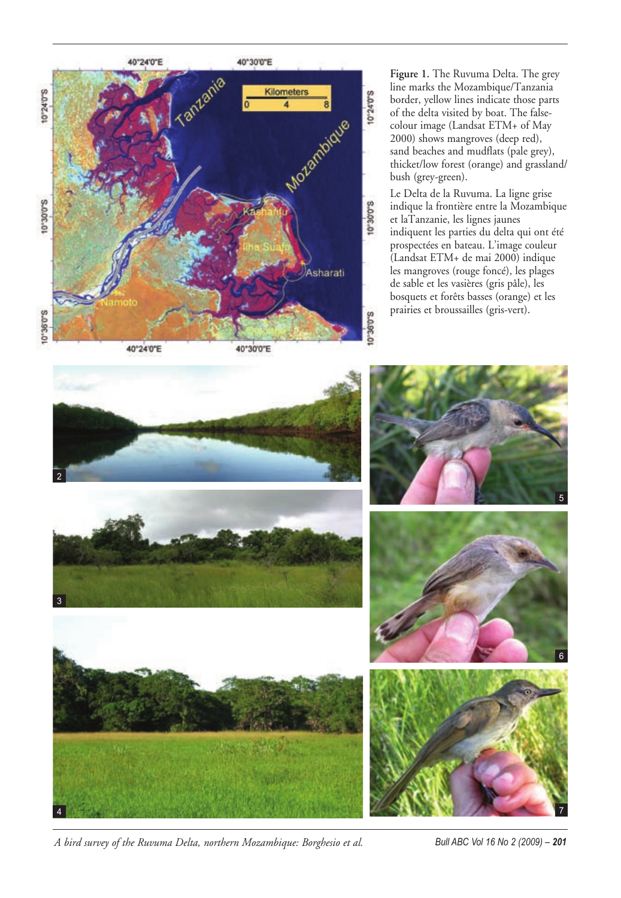

**Figure 1.** The Ruvuma Delta. The grey line marks the Mozambique/Tanzania border, yellow lines indicate those parts of the delta visited by boat. The falsecolour image (Landsat ETM+ of May 2000) shows mangroves (deep red), sand beaches and mudflats (pale grey), thicket/low forest (orange) and grassland/ bush (grey-green).

Le Delta de la Ruvuma. La ligne grise indique la frontière entre la Mozambique et laTanzanie, les lignes jaunes indiquent les parties du delta qui ont été prospectées en bateau. L'image couleur (Landsat ETM+ de mai 2000) indique les mangroves (rouge foncé), les plages de sable et les vasières (gris pâle), les bosquets et forêts basses (orange) et les prairies et broussailles (gris-vert).













*A bird survey of the Ruvuma Delta, northern Mozambique: Borghesio et al. Bull ABC Vol 16 No 2 (2009) – 201*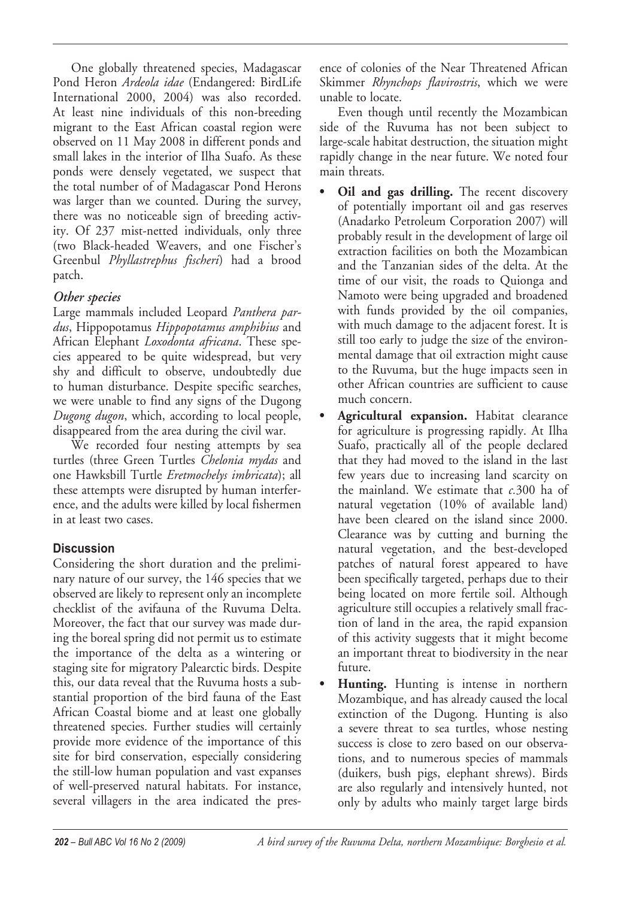One globally threatened species, Madagascar Pond Heron *Ardeola idae* (Endangered: BirdLife International 2000, 2004) was also recorded. At least nine individuals of this non-breeding migrant to the East African coastal region were observed on 11 May 2008 in different ponds and small lakes in the interior of Ilha Suafo. As these ponds were densely vegetated, we suspect that the total number of of Madagascar Pond Herons was larger than we counted. During the survey, there was no noticeable sign of breeding activity. Of 237 mist-netted individuals, only three (two Black-headed Weavers, and one Fischer's Greenbul *Phyllastrephus fischeri*) had a brood patch.

# *Other species*

Large mammals included Leopard *Panthera pardus*, Hippopotamus *Hippopotamus amphibius* and African Elephant *Loxodonta africana*. These species appeared to be quite widespread, but very shy and difficult to observe, undoubtedly due to human disturbance. Despite specific searches, we were unable to find any signs of the Dugong *Dugong dugon*, which, according to local people, disappeared from the area during the civil war.

We recorded four nesting attempts by sea turtles (three Green Turtles *Chelonia mydas* and one Hawksbill Turtle *Eretmochelys imbricata*); all these attempts were disrupted by human interference, and the adults were killed by local fishermen in at least two cases.

# **Discussion**

Considering the short duration and the preliminary nature of our survey, the 146 species that we observed are likely to represent only an incomplete checklist of the avifauna of the Ruvuma Delta. Moreover, the fact that our survey was made during the boreal spring did not permit us to estimate the importance of the delta as a wintering or staging site for migratory Palearctic birds. Despite this, our data reveal that the Ruvuma hosts a substantial proportion of the bird fauna of the East African Coastal biome and at least one globally threatened species. Further studies will certainly provide more evidence of the importance of this site for bird conservation, especially considering the still-low human population and vast expanses of well-preserved natural habitats. For instance, several villagers in the area indicated the presence of colonies of the Near Threatened African Skimmer *Rhynchops flavirostris*, which we were unable to locate.

Even though until recently the Mozambican side of the Ruvuma has not been subject to large-scale habitat destruction, the situation might rapidly change in the near future. We noted four main threats.

- **Oil and gas drilling.** The recent discovery of potentially important oil and gas reserves (Anadarko Petroleum Corporation 2007) will probably result in the development of large oil extraction facilities on both the Mozambican and the Tanzanian sides of the delta. At the time of our visit, the roads to Quionga and Namoto were being upgraded and broadened with funds provided by the oil companies, with much damage to the adjacent forest. It is still too early to judge the size of the environmental damage that oil extraction might cause to the Ruvuma, but the huge impacts seen in other African countries are sufficient to cause much concern.
- **Agricultural expansion.** Habitat clearance for agriculture is progressing rapidly. At Ilha Suafo, practically all of the people declared that they had moved to the island in the last few years due to increasing land scarcity on the mainland. We estimate that *c.*300 ha of natural vegetation (10% of available land) have been cleared on the island since 2000. Clearance was by cutting and burning the natural vegetation, and the best-developed patches of natural forest appeared to have been specifically targeted, perhaps due to their being located on more fertile soil. Although agriculture still occupies a relatively small fraction of land in the area, the rapid expansion of this activity suggests that it might become an important threat to biodiversity in the near future.
- **Hunting.** Hunting is intense in northern Mozambique, and has already caused the local extinction of the Dugong. Hunting is also a severe threat to sea turtles, whose nesting success is close to zero based on our observations, and to numerous species of mammals (duikers, bush pigs, elephant shrews). Birds are also regularly and intensively hunted, not only by adults who mainly target large birds